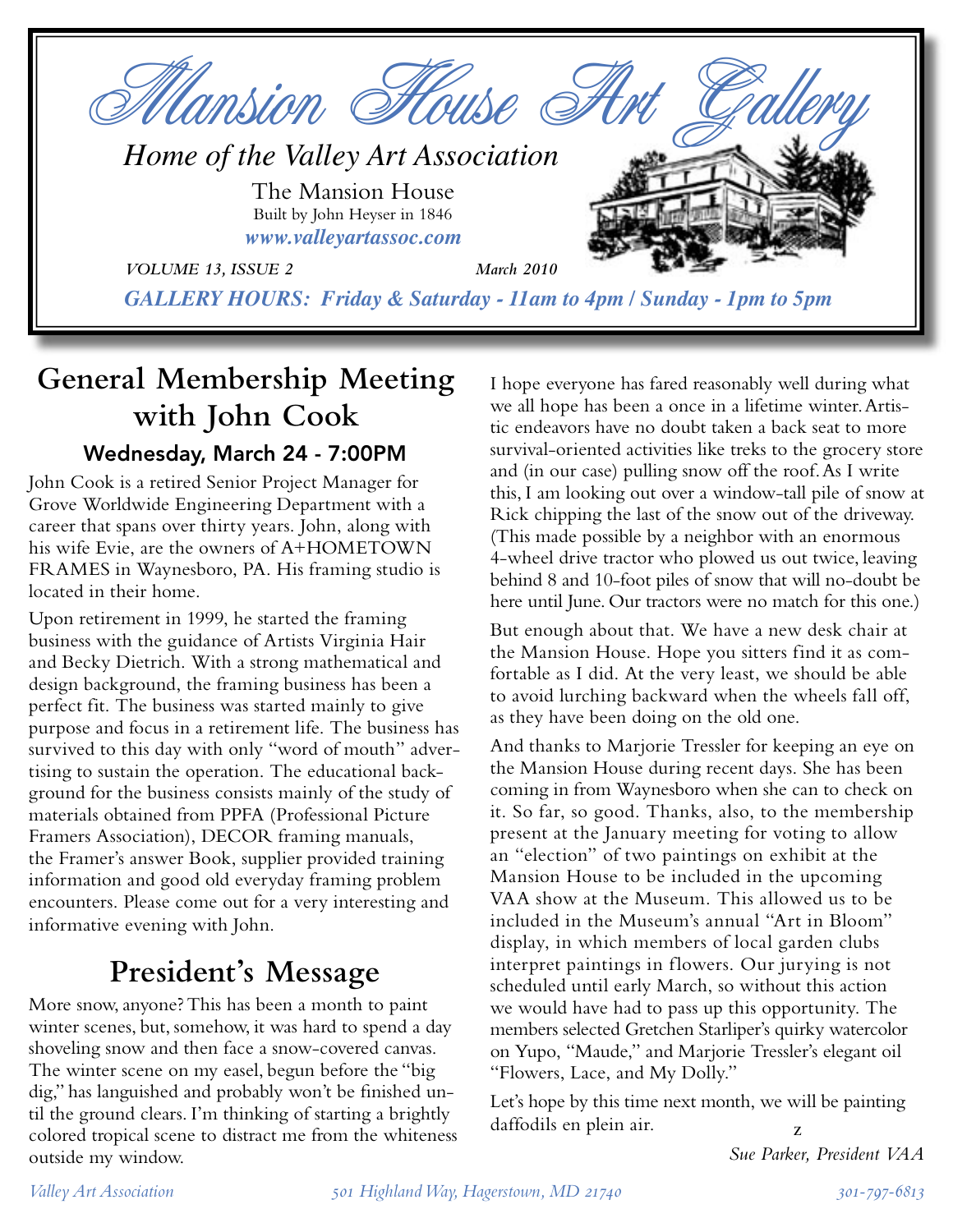

# **General Membership Meeting with John Cook** Wednesday, March 24 - 7:00PM

John Cook is a retired Senior Project Manager for Grove Worldwide Engineering Department with a career that spans over thirty years. John, along with his wife Evie, are the owners of A+HOMETOWN FRAMES in Waynesboro, PA. His framing studio is located in their home.

Upon retirement in 1999, he started the framing business with the guidance of Artists Virginia Hair and Becky Dietrich. With a strong mathematical and design background, the framing business has been a perfect fit. The business was started mainly to give purpose and focus in a retirement life. The business has survived to this day with only "word of mouth" advertising to sustain the operation. The educational background for the business consists mainly of the study of materials obtained from PPFA (Professional Picture Framers Association), DECOR framing manuals, the Framer's answer Book, supplier provided training information and good old everyday framing problem encounters. Please come out for a very interesting and informative evening with John.

# **President's Message**

More snow, anyone? This has been a month to paint winter scenes, but, somehow, it was hard to spend a day shoveling snow and then face a snow-covered canvas. The winter scene on my easel, begun before the "big dig," has languished and probably won't be finished until the ground clears. I'm thinking of starting a brightly colored tropical scene to distract me from the whiteness outside my window.

I hope everyone has fared reasonably well during what we all hope has been a once in a lifetime winter. Artistic endeavors have no doubt taken a back seat to more survival-oriented activities like treks to the grocery store and (in our case) pulling snow off the roof. As I write this, I am looking out over a window-tall pile of snow at Rick chipping the last of the snow out of the driveway. (This made possible by a neighbor with an enormous 4-wheel drive tractor who plowed us out twice, leaving behind 8 and 10-foot piles of snow that will no-doubt be here until June. Our tractors were no match for this one.)

But enough about that. We have a new desk chair at the Mansion House. Hope you sitters find it as comfortable as I did. At the very least, we should be able to avoid lurching backward when the wheels fall off, as they have been doing on the old one.

And thanks to Marjorie Tressler for keeping an eye on the Mansion House during recent days. She has been coming in from Waynesboro when she can to check on it. So far, so good. Thanks, also, to the membership present at the January meeting for voting to allow an "election" of two paintings on exhibit at the Mansion House to be included in the upcoming VAA show at the Museum. This allowed us to be included in the Museum's annual "Art in Bloom" display, in which members of local garden clubs interpret paintings in flowers. Our jurying is not scheduled until early March, so without this action we would have had to pass up this opportunity. The members selected Gretchen Starliper's quirky watercolor on Yupo, "Maude," and Marjorie Tressler's elegant oil "Flowers, Lace, and My Dolly."

Let's hope by this time next month, we will be painting daffodils en plein air. z

*Sue Parker, President VAA*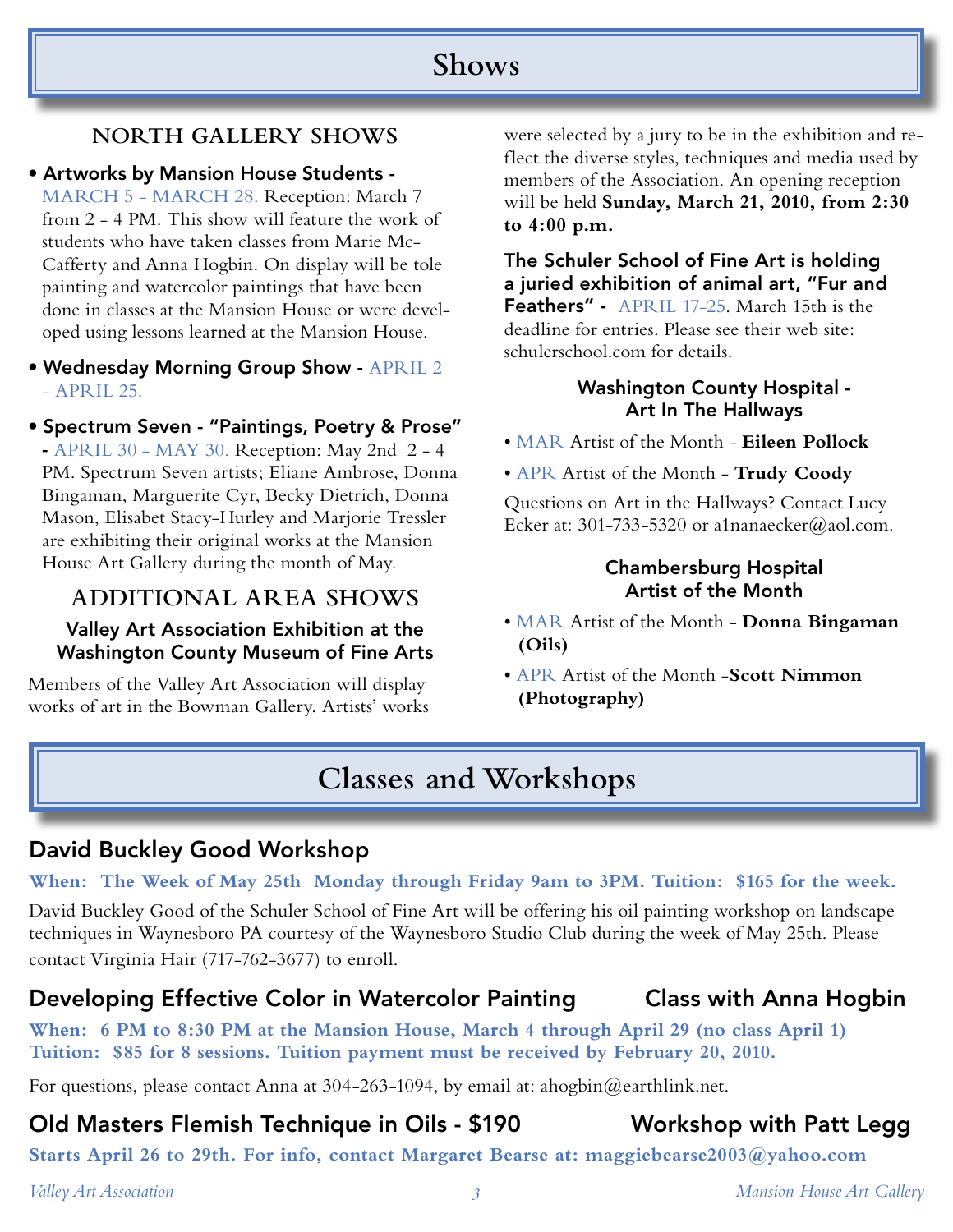# **Shows**

## **NORTH GALLERY SHOWS**

• Artworks by Mansion House Students -

MARCH 5 - MARCH 28. Reception: March 7 from 2 - 4 PM. This show will feature the work of students who have taken classes from Marie Mc-Cafferty and Anna Hogbin. On display will be tole painting and watercolor paintings that have been done in classes at the Mansion House or were developed using lessons learned at the Mansion House.

• Wednesday Morning Group Show - APRIL 2  $-$  APRIL 25.

• Spectrum Seven - "Paintings, Poetry & Prose" - APRIL 30 - MAY 30. Reception: May 2nd 2 - 4 PM. Spectrum Seven artists; Eliane Ambrose, Donna Bingaman, Marguerite Cyr, Becky Dietrich, Donna Mason, Elisabet Stacy-Hurley and Marjorie Tressler are exhibiting their original works at the Mansion House Art Gallery during the month of May.

## **ADDITIONAL AREA SHOWS**

#### Valley Art Association Exhibition at the Washington County Museum of Fine Arts

Members of the Valley Art Association will display works of art in the Bowman Gallery. Artists' works were selected by a jury to be in the exhibition and reflect the diverse styles, techniques and media used by members of the Association. An opening reception will be held **Sunday, March 21, 2010, from 2:30 to 4:00 p.m.**

The Schuler School of Fine Art is holding a juried exhibition of animal art, "Fur and Feathers" - APRIL 17-25. March 15th is the deadline for entries. Please see their web site: schulerschool.com for details.

#### Washington County Hospital - Art In The Hallways

- MAR Artist of the Month **Eileen Pollock**
- APR Artist of the Month **Trudy Coody**

Questions on Art in the Hallways? Contact Lucy Ecker at: 301-733-5320 or a1nanaecker@aol.com.

#### Chambersburg Hospital Artist of the Month

- MAR Artist of the Month **Donna Bingaman (Oils)**
- APR Artist of the Month -**Scott Nimmon (Photography)**

# **Classes and Workshops**

## David Buckley Good Workshop

### **When: The Week of May 25th Monday through Friday 9am to 3PM. Tuition: \$165 for the week.**

David Buckley Good of the Schuler School of Fine Art will be offering his oil painting workshop on landscape techniques in Waynesboro PA courtesy of the Waynesboro Studio Club during the week of May 25th. Please contact Virginia Hair (717-762-3677) to enroll.

## Developing Effective Color in Watercolor Painting Class with Anna Hogbin

**When: 6 PM to 8:30 PM at the Mansion House, March 4 through April 29 (no class April 1) Tuition: \$85 for 8 sessions. Tuition payment must be received by February 20, 2010.**

For questions, please contact Anna at 304-263-1094, by email at: ahogbin@earthlink.net.

## Old Masters Flemish Technique in Oils - \$190 Workshop with Patt Legg

**Starts April 26 to 29th. For info, contact Margaret Bearse at: maggiebearse2003@yahoo.com**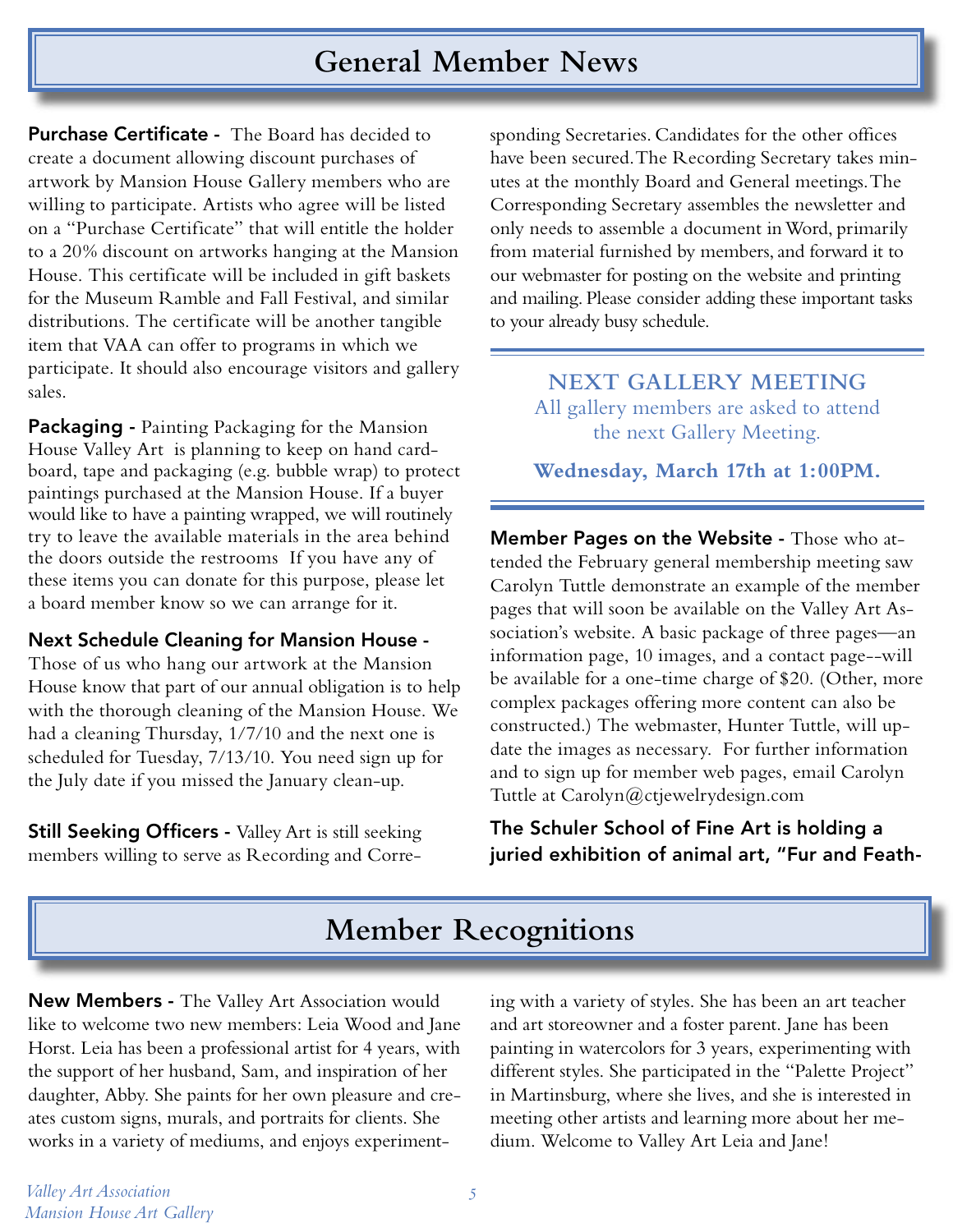## **General Member News**

Purchase Certificate - The Board has decided to create a document allowing discount purchases of artwork by Mansion House Gallery members who are willing to participate. Artists who agree will be listed on a "Purchase Certificate" that will entitle the holder to a 20% discount on artworks hanging at the Mansion House. This certificate will be included in gift baskets for the Museum Ramble and Fall Festival, and similar distributions. The certificate will be another tangible item that VAA can offer to programs in which we participate. It should also encourage visitors and gallery sales.

Packaging - Painting Packaging for the Mansion House Valley Art is planning to keep on hand cardboard, tape and packaging (e.g. bubble wrap) to protect paintings purchased at the Mansion House. If a buyer would like to have a painting wrapped, we will routinely try to leave the available materials in the area behind the doors outside the restrooms If you have any of these items you can donate for this purpose, please let a board member know so we can arrange for it.

#### Next Schedule Cleaning for Mansion House -

Those of us who hang our artwork at the Mansion House know that part of our annual obligation is to help with the thorough cleaning of the Mansion House. We had a cleaning Thursday, 1/7/10 and the next one is scheduled for Tuesday, 7/13/10. You need sign up for the July date if you missed the January clean-up.

**Still Seeking Officers - Valley Art is still seeking** members willing to serve as Recording and Corresponding Secretaries. Candidates for the other offices have been secured. The Recording Secretary takes minutes at the monthly Board and General meetings. The Corresponding Secretary assembles the newsletter and only needs to assemble a document in Word, primarily from material furnished by members, and forward it to our webmaster for posting on the website and printing and mailing. Please consider adding these important tasks to your already busy schedule.

> **NEXT GALLERY MEETING** All gallery members are asked to attend the next Gallery Meeting.

> **Wednesday, March 17th at 1:00PM.**

Member Pages on the Website - Those who attended the February general membership meeting saw Carolyn Tuttle demonstrate an example of the member pages that will soon be available on the Valley Art Association's website. A basic package of three pages—an information page, 10 images, and a contact page--will be available for a one-time charge of \$20. (Other, more complex packages offering more content can also be constructed.) The webmaster, Hunter Tuttle, will update the images as necessary. For further information and to sign up for member web pages, email Carolyn Tuttle at Carolyn@ctjewelrydesign.com

The Schuler School of Fine Art is holding a juried exhibition of animal art, "Fur and Feath-

# **Member Recognitions**

New Members - The Valley Art Association would like to welcome two new members: Leia Wood and Jane Horst. Leia has been a professional artist for 4 years, with the support of her husband, Sam, and inspiration of her daughter, Abby. She paints for her own pleasure and creates custom signs, murals, and portraits for clients. She works in a variety of mediums, and enjoys experimenting with a variety of styles. She has been an art teacher and art storeowner and a foster parent. Jane has been painting in watercolors for 3 years, experimenting with different styles. She participated in the "Palette Project" in Martinsburg, where she lives, and she is interested in meeting other artists and learning more about her medium. Welcome to Valley Art Leia and Jane!